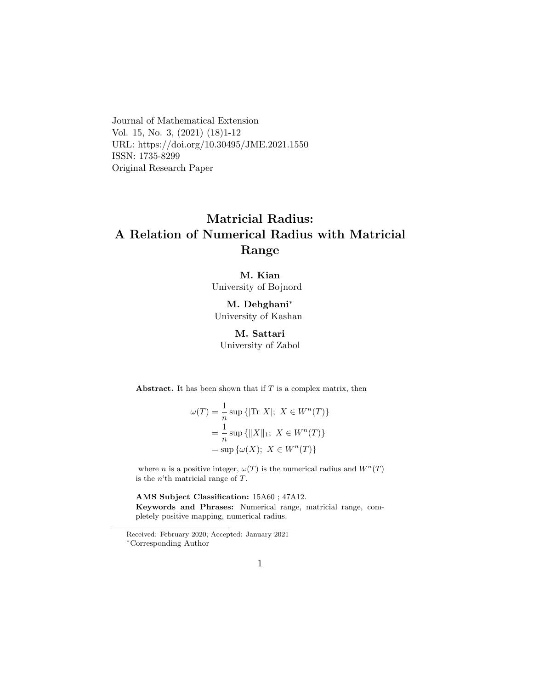Journal of Mathematical Extension Vol. 15, No. 3, (2021) (18)1-12 URL: https://doi.org/10.30495/JME.2021.1550 ISSN: 1735-8299 Original Research Paper

# Matricial Radius: A Relation of Numerical Radius with Matricial Range

#### M. Kian University of Bojnord

M. Dehghani[∗](#page-0-0) University of Kashan

### M. Sattari

University of Zabol

Abstract. It has been shown that if  $T$  is a complex matrix, then

$$
\omega(T) = \frac{1}{n} \sup \{ |\text{Tr } X|; X \in W^n(T) \}
$$

$$
= \frac{1}{n} \sup \{ \|X\|_1; X \in W^n(T) \}
$$

$$
= \sup \{ \omega(X); X \in W^n(T) \}
$$

where *n* is a positive integer,  $\omega(T)$  is the numerical radius and  $W^{n}(T)$ is the n'th matricial range of T.

AMS Subject Classification: 15A60 ; 47A12. Keywords and Phrases: Numerical range, matricial range, completely positive mapping, numerical radius.

<span id="page-0-0"></span>Received: February 2020; Accepted: January 2021 <sup>∗</sup>Corresponding Author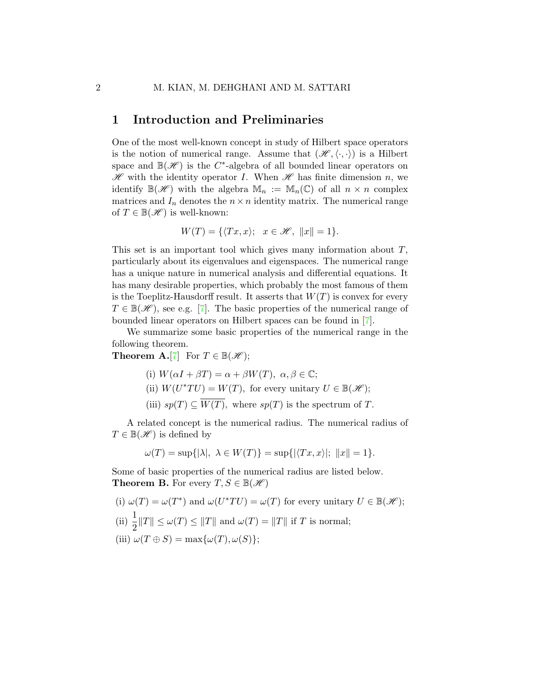### 1 Introduction and Preliminaries

One of the most well-known concept in study of Hilbert space operators is the notion of numerical range. Assume that  $(\mathscr{H}, \langle \cdot, \cdot \rangle)$  is a Hilbert space and  $\mathbb{B}(\mathscr{H})$  is the C<sup>\*</sup>-algebra of all bounded linear operators on  $\mathscr H$  with the identity operator I. When  $\mathscr H$  has finite dimension n, we identify  $\mathbb{B}(\mathscr{H})$  with the algebra  $\mathbb{M}_n := \mathbb{M}_n(\mathbb{C})$  of all  $n \times n$  complex matrices and  $I_n$  denotes the  $n \times n$  identity matrix. The numerical range of  $T \in \mathbb{B}(\mathcal{H})$  is well-known:

$$
W(T) = \{ \langle Tx, x \rangle; \ \ x \in \mathcal{H}, \ \|x\| = 1 \}.
$$

This set is an important tool which gives many information about  $T$ , particularly about its eigenvalues and eigenspaces. The numerical range has a unique nature in numerical analysis and differential equations. It has many desirable properties, which probably the most famous of them is the Toeplitz-Hausdorff result. It asserts that  $W(T)$  is convex for every  $T \in \mathbb{B}(\mathscr{H})$ , see e.g. [\[7\]](#page-10-0). The basic properties of the numerical range of bounded linear operators on Hilbert spaces can be found in [\[7\]](#page-10-0).

We summarize some basic properties of the numerical range in the following theorem.

**Theorem A.** [\[7\]](#page-10-0) For  $T \in \mathbb{B}(\mathcal{H})$ ;

- (i)  $W(\alpha I + \beta T) = \alpha + \beta W(T), \ \alpha, \beta \in \mathbb{C};$
- (ii)  $W(U^*TU) = W(T)$ , for every unitary  $U \in \mathbb{B}(\mathcal{H})$ ;
- (iii)  $sp(T) \subseteq \overline{W(T)}$ , where  $sp(T)$  is the spectrum of T.

A related concept is the numerical radius. The numerical radius of  $T \in \mathbb{B}(\mathscr{H})$  is defined by

$$
\omega(T) = \sup\{|\lambda|, \lambda \in W(T)\} = \sup\{|\langle Tx, x\rangle|; \|x\| = 1\}.
$$

Some of basic properties of the numerical radius are listed below. **Theorem B.** For every  $T, S \in \mathbb{B}(\mathcal{H})$ 

(i) 
$$
\omega(T) = \omega(T^*)
$$
 and  $\omega(U^*TU) = \omega(T)$  for every unitary  $U \in \mathbb{B}(\mathcal{H})$ ;  
\n(ii)  $\frac{1}{2}||T|| \leq \omega(T) \leq ||T||$  and  $\omega(T) = ||T||$  if T is normal;  
\n(iii)  $\omega(T \oplus S) = \max{\{\omega(T), \omega(S)\}}$ ;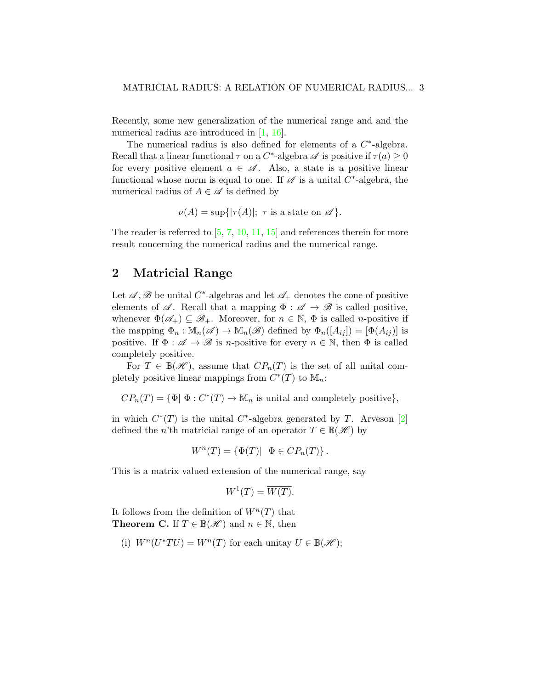Recently, some new generalization of the numerical range and and the numerical radius are introduced in [\[1,](#page-9-0) [16\]](#page-11-0).

The numerical radius is also defined for elements of a  $C^*$ -algebra. Recall that a linear functional  $\tau$  on a  $C^*$ -algebra  $\mathscr A$  is positive if  $\tau(a) \geq 0$ for every positive element  $a \in \mathscr{A}$ . Also, a state is a positive linear functional whose norm is equal to one. If  $\mathscr A$  is a unital  $C^*$ -algebra, the numerical radius of  $A \in \mathscr{A}$  is defined by

$$
\nu(A) = \sup\{|\tau(A)|; \ \tau \text{ is a state on } \mathscr{A}\}.
$$

The reader is referred to  $[5, 7, 10, 11, 15]$  $[5, 7, 10, 11, 15]$  $[5, 7, 10, 11, 15]$  $[5, 7, 10, 11, 15]$  $[5, 7, 10, 11, 15]$  $[5, 7, 10, 11, 15]$  $[5, 7, 10, 11, 15]$  $[5, 7, 10, 11, 15]$  and references therein for more result concerning the numerical radius and the numerical range.

## 2 Matricial Range

Let  $\mathscr{A}, \mathscr{B}$  be unital C<sup>\*</sup>-algebras and let  $\mathscr{A}_+$  denotes the cone of positive elements of  $\mathscr A$ . Recall that a mapping  $\Phi : \mathscr A \to \mathscr B$  is called positive, whenever  $\Phi(\mathscr{A}_+) \subseteq \mathscr{B}_+$ . Moreover, for  $n \in \mathbb{N}$ ,  $\Phi$  is called *n*-positive if the mapping  $\Phi_n : \mathbb{M}_n(\mathscr{A}) \to \mathbb{M}_n(\mathscr{B})$  defined by  $\Phi_n([A_{ij}]) = [\Phi(A_{ij})]$  is positive. If  $\Phi : \mathscr{A} \to \mathscr{B}$  is *n*-positive for every  $n \in \mathbb{N}$ , then  $\Phi$  is called completely positive.

For  $T \in \mathbb{B}(\mathscr{H})$ , assume that  $CP_n(T)$  is the set of all unital completely positive linear mappings from  $C^*(T)$  to  $\mathbb{M}_n$ :

 $CP_n(T) = {\Phi | \Phi : C^*(T) \to M_n \text{ is unital and completely positive}}$ ,

in which  $C^*(T)$  is the unital  $C^*$ -algebra generated by T. Arveson [\[2\]](#page-9-1) defined the n'th matricial range of an operator  $T \in \mathbb{B}(\mathcal{H})$  by

$$
W^{n}(T) = \{ \Phi(T) | \Phi \in CP_n(T) \}.
$$

This is a matrix valued extension of the numerical range, say

$$
W^1(T) = \overline{W(T)}.
$$

It follows from the definition of  $W^n(T)$  that **Theorem C.** If  $T \in \mathbb{B}(\mathcal{H})$  and  $n \in \mathbb{N}$ , then

(i)  $W^n(U^*TU) = W^n(T)$  for each unitay  $U \in \mathbb{B}(\mathcal{H})$ ;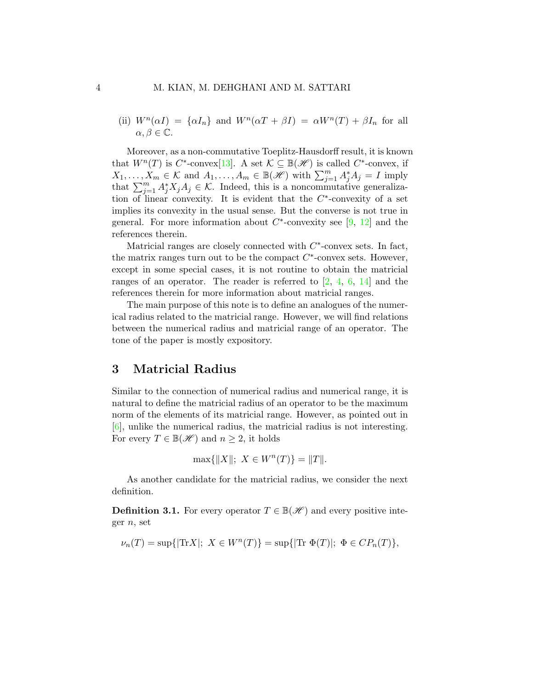(ii)  $W^n(\alpha I) = {\alpha I_n}$  and  $W^n(\alpha T + \beta I) = \alpha W^n(T) + \beta I_n$  for all  $\alpha, \beta \in \mathbb{C}$ .

Moreover, as a non-commutative Toeplitz-Hausdorff result, it is known that  $W^{n}(T)$  is  $C^*$ -convex[\[13\]](#page-10-5). A set  $\mathcal{K} \subseteq \mathbb{B}(\mathscr{H})$  is called  $C^*$ -convex, if  $X_1, \ldots, X_m \in \mathcal{K}$  and  $A_1, \ldots, A_m \in \mathbb{B}(\mathscr{H})$  with  $\sum_{j=1}^m A_j^* A_j = I$  imply that  $\sum_{j=1}^{m} A_j^* X_j A_j \in \mathcal{K}$ . Indeed, this is a noncommutative generalization of linear convexity. It is evident that the  $C^*$ -convexity of a set implies its convexity in the usual sense. But the converse is not true in general. For more information about  $C^*$ -convexity see [\[9,](#page-10-6) [12\]](#page-10-7) and the references therein.

Matricial ranges are closely connected with  $C^*$ -convex sets. In fact, the matrix ranges turn out to be the compact  $C^*$ -convex sets. However, except in some special cases, it is not routine to obtain the matricial ranges of an operator. The reader is referred to  $[2, 4, 6, 14]$  $[2, 4, 6, 14]$  $[2, 4, 6, 14]$  $[2, 4, 6, 14]$  $[2, 4, 6, 14]$  $[2, 4, 6, 14]$  and the references therein for more information about matricial ranges.

The main purpose of this note is to define an analogues of the numerical radius related to the matricial range. However, we will find relations between the numerical radius and matricial range of an operator. The tone of the paper is mostly expository.

### 3 Matricial Radius

Similar to the connection of numerical radius and numerical range, it is natural to define the matricial radius of an operator to be the maximum norm of the elements of its matricial range. However, as pointed out in [\[6\]](#page-10-9), unlike the numerical radius, the matricial radius is not interesting. For every  $T \in \mathbb{B}(\mathscr{H})$  and  $n \geq 2$ , it holds

$$
\max\{\|X\|; X \in W^n(T)\} = \|T\|.
$$

As another candidate for the matricial radius, we consider the next definition.

**Definition 3.1.** For every operator  $T \in \mathbb{B}(\mathcal{H})$  and every positive integer n, set

$$
\nu_n(T) = \sup\{|\text{Tr}X|; \ X \in W^n(T)\} = \sup\{|\text{Tr }\Phi(T)|; \ \Phi \in CP_n(T)\},
$$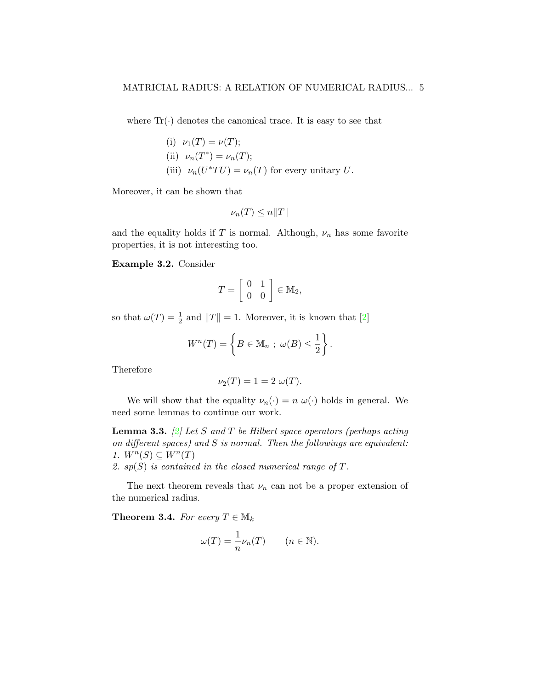where  $\text{Tr}(\cdot)$  denotes the canonical trace. It is easy to see that

(i)  $\nu_1(T) = \nu(T);$ (ii)  $\nu_n(T^*) = \nu_n(T);$ (iii)  $\nu_n(U^*TU) = \nu_n(T)$  for every unitary U.

Moreover, it can be shown that

$$
\nu_n(T) \le n||T||
$$

and the equality holds if  $T$  is normal. Although,  $\nu_n$  has some favorite properties, it is not interesting too.

Example 3.2. Consider

$$
T = \left[ \begin{array}{cc} 0 & 1 \\ 0 & 0 \end{array} \right] \in \mathbb{M}_2,
$$

so that  $\omega(T) = \frac{1}{2}$  and  $||T|| = 1$ . Moreover, it is known that [\[2\]](#page-9-1)

$$
W^{n}(T) = \left\{ B \in \mathbb{M}_{n} ; \ \omega(B) \leq \frac{1}{2} \right\}.
$$

Therefore

$$
\nu_2(T) = 1 = 2 \omega(T).
$$

We will show that the equality  $\nu_n(\cdot) = n \omega(\cdot)$  holds in general. We need some lemmas to continue our work.

<span id="page-4-0"></span>**Lemma 3.3.** [\[2\]](#page-9-1) Let S and T be Hilbert space operators (perhaps acting on different spaces) and S is normal. Then the followings are equivalent: 1.  $W^n(S) \subseteq W^n(T)$ 

2.  $sp(S)$  is contained in the closed numerical range of T.

The next theorem reveals that  $\nu_n$  can not be a proper extension of the numerical radius.

<span id="page-4-1"></span>**Theorem 3.4.** For every  $T \in \mathbb{M}_k$ 

$$
\omega(T) = \frac{1}{n} \nu_n(T) \qquad (n \in \mathbb{N}).
$$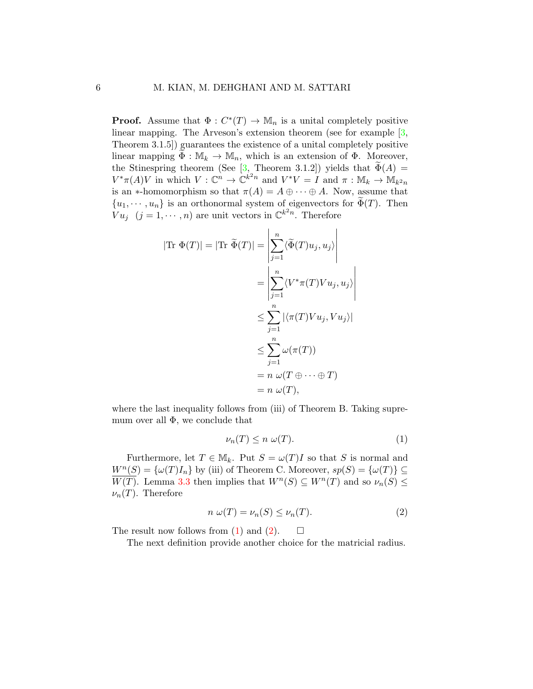**Proof.** Assume that  $\Phi: C^*(T) \to \mathbb{M}_n$  is a unital completely positive linear mapping. The Arveson's extension theorem (see for example  $\lceil 3, \rceil$ ) Theorem 3.1.5]) guarantees the existence of a unital completely positive linear mapping  $\tilde{\Phi}: \mathbb{M}_k \to \mathbb{M}_n$ , which is an extension of  $\Phi$ . Moreover, the Stinespring theorem (See [\[3,](#page-10-11) Theorem 3.1.2]) yields that  $\widetilde{\Phi}(A) =$  $V^*\pi(A)V$  in which  $V:\mathbb{C}^n\to\mathbb{C}^{k^2n}$  and  $V^*V = I$  and  $\pi:\mathbb{M}_k\to\mathbb{M}_{k^2n}$ is an ∗-homomorphism so that  $\pi(A) = A \oplus \cdots \oplus A$ . Now, assume that  $\{u_1, \dots, u_n\}$  is an orthonormal system of eigenvectors for  $\Phi(T)$ . Then  $Vu_j$   $(j = 1, \dots, n)$  are unit vectors in  $\mathbb{C}^{k^2 n}$ . Therefore

$$
|\text{Tr }\Phi(T)| = |\text{Tr }\widetilde{\Phi}(T)| = \left| \sum_{j=1}^{n} \langle \widetilde{\Phi}(T)u_j, u_j \rangle \right|
$$
  
= 
$$
\left| \sum_{j=1}^{n} \langle V^* \pi(T) V u_j, u_j \rangle \right|
$$
  

$$
\leq \sum_{j=1}^{n} |\langle \pi(T) V u_j, V u_j \rangle|
$$
  

$$
\leq \sum_{j=1}^{n} \omega(\pi(T))
$$
  
= 
$$
n \omega(T \oplus \cdots \oplus T)
$$
  
= 
$$
n \omega(T),
$$

where the last inequality follows from (iii) of Theorem B. Taking supremum over all  $\Phi$ , we conclude that

<span id="page-5-1"></span><span id="page-5-0"></span>
$$
\nu_n(T) \le n \ \omega(T). \tag{1}
$$

Furthermore, let  $T \in M_k$ . Put  $S = \omega(T)I$  so that S is normal and  $W^{n}(S) = {\omega(T)I_{n}}$  by (iii) of Theorem C. Moreover,  $sp(S) = {\omega(T)} \subseteq$  $\overline{W(T)}$ . Lemma [3.3](#page-4-0) then implies that  $W^{n}(S) \subseteq W^{n}(T)$  and so  $\nu_{n}(S) \leq$  $\nu_n(T)$ . Therefore

$$
n \omega(T) = \nu_n(S) \le \nu_n(T). \tag{2}
$$

The result now follows from [\(1\)](#page-5-0) and [\(2\)](#page-5-1).  $\square$ 

The next definition provide another choice for the matricial radius.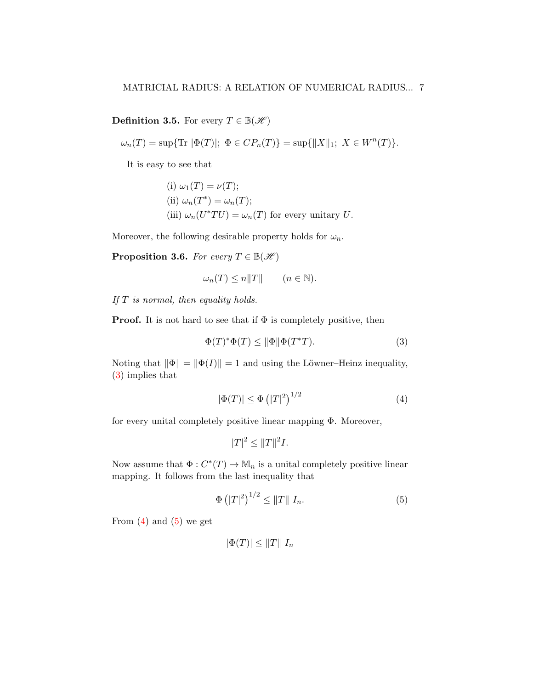<span id="page-6-4"></span>**Definition 3.5.** For every  $T \in \mathbb{B}(\mathcal{H})$ 

 $\omega_n(T) = \sup\{\text{Tr }|\Phi(T)|; \ \Phi \in CP_n(T)\} = \sup\{\|X\|_1; \ X \in W^n(T)\}.$ 

It is easy to see that

(i) 
$$
\omega_1(T) = \nu(T)
$$
;  
\n(ii)  $\omega_n(T^*) = \omega_n(T)$ ;  
\n(iii)  $\omega_n(U^*TU) = \omega_n(T)$  for every unitary U.

Moreover, the following desirable property holds for  $\omega_n$ .

<span id="page-6-3"></span>**Proposition 3.6.** For every  $T \in \mathbb{B}(\mathcal{H})$ 

$$
\omega_n(T) \le n ||T|| \qquad (n \in \mathbb{N}).
$$

If  $T$  is normal, then equality holds.

**Proof.** It is not hard to see that if  $\Phi$  is completely positive, then

$$
\Phi(T)^*\Phi(T) \le \|\Phi\|\Phi(T^*T). \tag{3}
$$

Noting that  $\|\Phi\| = \|\Phi(I)\| = 1$  and using the Löwner–Heinz inequality, [\(3\)](#page-6-0) implies that

<span id="page-6-0"></span>
$$
|\Phi(T)| \le \Phi\left(|T|^2\right)^{1/2} \tag{4}
$$

for every unital completely positive linear mapping Φ. Moreover,

<span id="page-6-2"></span><span id="page-6-1"></span>
$$
|T|^2 \leq ||T||^2 I.
$$

Now assume that  $\Phi: C^*(T) \to \mathbb{M}_n$  is a unital completely positive linear mapping. It follows from the last inequality that

$$
\Phi(|T|^2)^{1/2} \le ||T|| \ I_n. \tag{5}
$$

From  $(4)$  and  $(5)$  we get

$$
|\Phi(T)| \le ||T|| \ I_n
$$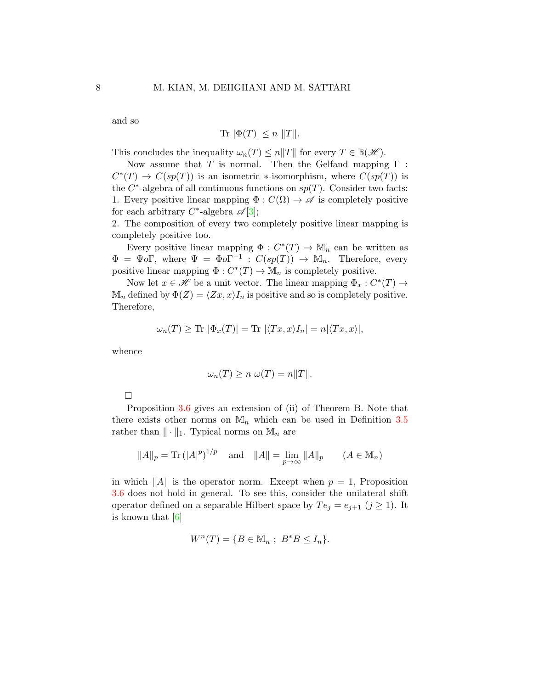and so

$$
Tr |\Phi(T)| \le n ||T||.
$$

This concludes the inequality  $\omega_n(T) \leq n||T||$  for every  $T \in \mathbb{B}(\mathcal{H})$ .

Now assume that T is normal. Then the Gelfand mapping  $\Gamma$ :  $C^*(T) \to C(sp(T))$  is an isometric \*-isomorphism, where  $C(sp(T))$  is the  $C^*$ -algebra of all continuous functions on  $sp(T)$ . Consider two facts: 1. Every positive linear mapping  $\Phi: C(\Omega) \to \mathscr{A}$  is completely positive for each arbitrary  $C^*$ -algebra  $\mathscr{A}[3];$  $\mathscr{A}[3];$  $\mathscr{A}[3];$ 

2. The composition of every two completely positive linear mapping is completely positive too.

Every positive linear mapping  $\Phi: C^*(T) \to \mathbb{M}_n$  can be written as  $\Phi = \Psi o \Gamma$ , where  $\Psi = \Phi o \Gamma^{-1}$ :  $C(sp(T)) \to M_n$ . Therefore, every positive linear mapping  $\Phi: C^*(T) \to \mathbb{M}_n$  is completely positive.

Now let  $x \in \mathcal{H}$  be a unit vector. The linear mapping  $\Phi_x : C^*(T) \to$  $\mathbb{M}_n$  defined by  $\Phi(Z) = \langle Zx, x \rangle I_n$  is positive and so is completely positive. Therefore,

$$
\omega_n(T) \geq \text{Tr} |\Phi_x(T)| = \text{Tr} |\langle Tx, x \rangle I_n| = n |\langle Tx, x \rangle|,
$$

whence

$$
\omega_n(T) \ge n \omega(T) = n||T||.
$$

 $\Box$ 

Proposition [3.6](#page-6-3) gives an extension of (ii) of Theorem B. Note that there exists other norms on  $\mathbb{M}_n$  which can be used in Definition [3.5](#page-6-4) rather than  $\|\cdot\|_1$ . Typical norms on  $\mathbb{M}_n$  are

$$
||A||_p = \text{Tr} (|A|^p)^{1/p}
$$
 and  $||A|| = \lim_{p \to \infty} ||A||_p$   $(A \in \mathbb{M}_n)$ 

in which  $||A||$  is the operator norm. Except when  $p = 1$ , Proposition [3.6](#page-6-3) does not hold in general. To see this, consider the unilateral shift operator defined on a separable Hilbert space by  $Te_j = e_{j+1}$   $(j \geq 1)$ . It is known that [\[6\]](#page-10-9)

$$
W^n(T) = \{ B \in \mathbb{M}_n ; B^*B \le I_n \}.
$$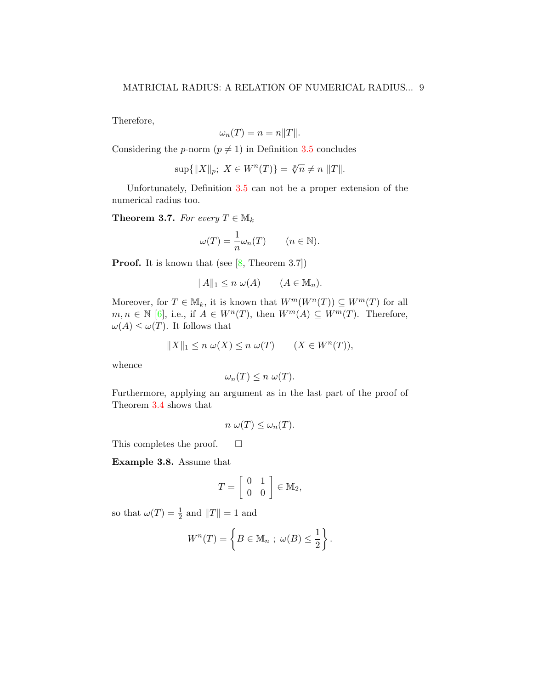Therefore,

$$
\omega_n(T) = n = n||T||.
$$

Considering the p-norm  $(p \neq 1)$  in Definition [3.5](#page-6-4) concludes

$$
\sup\{\|X\|_p; \ X \in W^n(T)\} = \sqrt[p]{n} \neq n \|T\|.
$$

Unfortunately, Definition [3.5](#page-6-4) can not be a proper extension of the numerical radius too.

**Theorem 3.7.** For every  $T \in \mathbb{M}_k$ 

$$
\omega(T) = \frac{1}{n}\omega_n(T) \qquad (n \in \mathbb{N}).
$$

**Proof.** It is known that (see  $[8,$  Theorem 3.7])

$$
||A||_1 \le n \omega(A) \qquad (A \in \mathbb{M}_n).
$$

Moreover, for  $T \in M_k$ , it is known that  $W^m(W^n(T)) \subseteq W^m(T)$  for all  $m, n \in \mathbb{N}$  [\[6\]](#page-10-9), i.e., if  $A \in W^n(T)$ , then  $W^m(A) \subseteq W^m(T)$ . Therefore,  $\omega(A) \leq \omega(T)$ . It follows that

$$
||X||_1 \le n \omega(X) \le n \omega(T) \qquad (X \in W^n(T)),
$$

whence

$$
\omega_n(T) \le n \ \omega(T).
$$

Furthermore, applying an argument as in the last part of the proof of Theorem [3.4](#page-4-1) shows that

$$
n \omega(T) \leq \omega_n(T).
$$

This completes the proof.  $\square$ 

Example 3.8. Assume that

$$
T = \left[ \begin{array}{cc} 0 & 1 \\ 0 & 0 \end{array} \right] \in \mathbb{M}_2,
$$

so that  $\omega(T) = \frac{1}{2}$  and  $||T|| = 1$  and

$$
W^{n}(T) = \left\{ B \in \mathbb{M}_{n} ; \ \omega(B) \leq \frac{1}{2} \right\}.
$$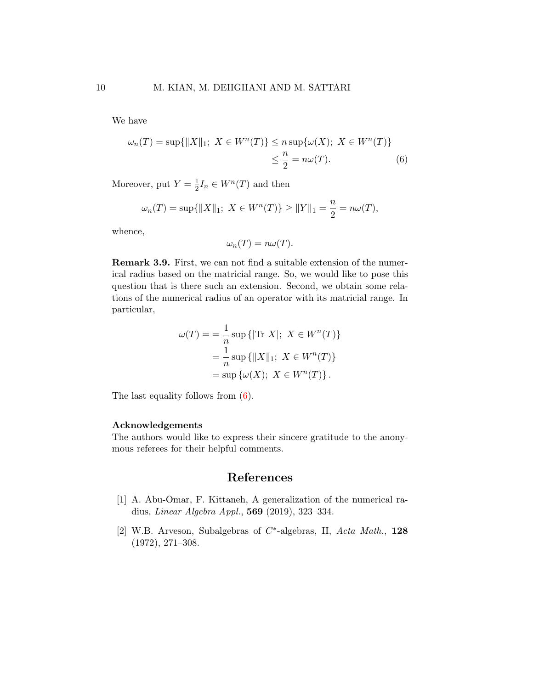We have

$$
\omega_n(T) = \sup\{\|X\|_1; \ X \in W^n(T)\} \le n \sup\{\omega(X); \ X \in W^n(T)\}
$$
  

$$
\le \frac{n}{2} = n\omega(T). \tag{6}
$$

Moreover, put  $Y=\frac{1}{2}$  $\frac{1}{2}I_n \in W^n(T)$  and then

$$
\omega_n(T) = \sup\{\|X\|_1; X \in W^n(T)\} \ge \|Y\|_1 = \frac{n}{2} = n\omega(T),
$$

whence,

<span id="page-9-2"></span>
$$
\omega_n(T) = n\omega(T).
$$

Remark 3.9. First, we can not find a suitable extension of the numerical radius based on the matricial range. So, we would like to pose this question that is there such an extension. Second, we obtain some relations of the numerical radius of an operator with its matricial range. In particular,

$$
\omega(T) = \frac{1}{n} \sup \{ |\text{Tr } X|; X \in W^n(T) \}
$$

$$
= \frac{1}{n} \sup \{ \|X\|_1; X \in W^n(T) \}
$$

$$
= \sup \{ \omega(X); X \in W^n(T) \}.
$$

The last equality follows from [\(6\)](#page-9-2).

#### Acknowledgements

The authors would like to express their sincere gratitude to the anonymous referees for their helpful comments.

### References

- <span id="page-9-0"></span>[1] A. Abu-Omar, F. Kittaneh, A generalization of the numerical radius, Linear Algebra Appl., 569 (2019), 323–334.
- <span id="page-9-1"></span>[2] W.B. Arveson, Subalgebras of C<sup>\*</sup>-algebras, II, Acta Math., 128 (1972), 271–308.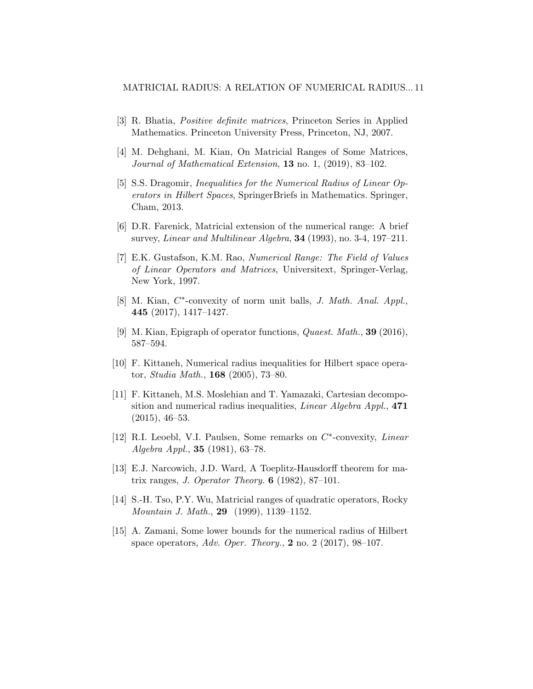- <span id="page-10-11"></span>[3] R. Bhatia, Positive definite matrices, Princeton Series in Applied Mathematics. Princeton University Press, Princeton, NJ, 2007.
- <span id="page-10-8"></span>[4] M. Dehghani, M. Kian, On Matricial Ranges of Some Matrices, Journal of Mathematical Extension, 13 no. 1, (2019), 83–102.
- <span id="page-10-1"></span>[5] S.S. Dragomir, Inequalities for the Numerical Radius of Linear Operators in Hilbert Spaces, SpringerBriefs in Mathematics. Springer, Cham, 2013.
- <span id="page-10-9"></span>[6] D.R. Farenick, Matricial extension of the numerical range: A brief survey, Linear and Multilinear Algebra, 34 (1993), no. 3-4, 197–211.
- <span id="page-10-0"></span>[7] E.K. Gustafson, K.M. Rao, Numerical Range: The Field of Values of Linear Operators and Matrices, Universitext, Springer-Verlag, New York, 1997.
- <span id="page-10-12"></span>[8] M. Kian,  $C^*$ -convexity of norm unit balls, *J. Math. Anal. Appl.*, 445 (2017), 1417–1427.
- <span id="page-10-6"></span>[9] M. Kian, Epigraph of operator functions, Quaest. Math., 39 (2016), 587–594.
- <span id="page-10-2"></span>[10] F. Kittaneh, Numerical radius inequalities for Hilbert space operator, Studia Math., 168 (2005), 73–80.
- <span id="page-10-3"></span>[11] F. Kittaneh, M.S. Moslehian and T. Yamazaki, Cartesian decomposition and numerical radius inequalities, *Linear Algebra Appl.*, 471 (2015), 46–53.
- <span id="page-10-7"></span>[12] R.I. Leoebl, V.I. Paulsen, Some remarks on  $C^*$ -convexity, Linear Algebra Appl., 35 (1981), 63–78.
- <span id="page-10-5"></span>[13] E.J. Narcowich, J.D. Ward, A Toeplitz-Hausdorff theorem for matrix ranges, *J. Operator Theory.* **6** (1982), 87–101.
- <span id="page-10-10"></span>[14] S.-H. Tso, P.Y. Wu, Matricial ranges of quadratic operators, Rocky Mountain J. Math., 29 (1999), 1139–1152.
- <span id="page-10-4"></span>[15] A. Zamani, Some lower bounds for the numerical radius of Hilbert space operators, Adv. Oper. Theory.,  $2 \text{ no. } 2 (2017), 98-107.$